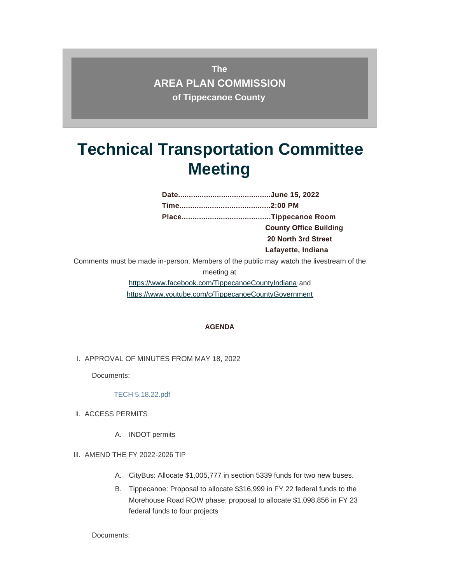**The AREA PLAN COMMISSION of Tippecanoe County**

# **Technical Transportation Committee Meeting**

**Date...........................................June 15, 2022 Time..........................................2:00 PM Place.........................................Tippecanoe Room County Office Building 20 North 3rd Street Lafayette, Indiana** 

Comments must be made in-person. Members of the public may watch the livestream of the

meeting at

[https://www.facebook.com/TippecanoeCountyIndiana and](https://www.youtube.com/c/TippecanoeCountyGovernment)  https://www.youtube.com/c/TippecanoeCountyGovernment

#### **AGENDA**

I. APPROVAL OF MINUTES FROM MAY 18, 2022

Documents:

#### [TECH 5.18.22.pdf](http://www.tippecanoe.in.gov/AgendaCenter/ViewFile/Item/12761?fileID=25590)

- II. ACCESS PERMITS
	- A. INDOT permits
- III. AMEND THE FY 2022-2026 TIP
	- A. CityBus: Allocate \$1,005,777 in section 5339 funds for two new buses.
	- B. Tippecanoe: Proposal to allocate \$316,999 in FY 22 federal funds to the Morehouse Road ROW phase; proposal to allocate \$1,098,856 in FY 23 federal funds to four projects

Documents: